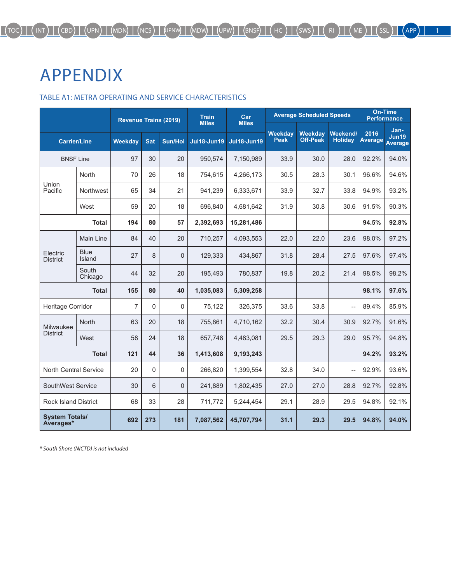## APPENDIX

## TABLE A1: METRA OPERATING AND SERVICE CHARACTERISTICS

|                                    |                       | <b>Revenue Trains (2019)</b> |             |                | <b>Train</b><br><b>Miles</b> | Car<br><b>Miles</b> |                               | <b>Average Scheduled Speeds</b>   | <b>On-Time</b><br><b>Performance</b> |                 |                                 |
|------------------------------------|-----------------------|------------------------------|-------------|----------------|------------------------------|---------------------|-------------------------------|-----------------------------------|--------------------------------------|-----------------|---------------------------------|
| <b>Carrier/Line</b>                |                       | Weekdav                      | <b>Sat</b>  | <b>Sun/Hol</b> | <b>Jul18-Jun19</b>           | <b>Jul18-Jun19</b>  | <b>Weekday</b><br><b>Peak</b> | <b>Weekday</b><br><b>Off-Peak</b> | Weekend/<br><b>Holiday</b>           | 2016<br>Average | Jan-<br>Jun19<br><b>Average</b> |
| <b>BNSF Line</b>                   |                       | 97                           | 30          | 20             | 950,574                      | 7,150,989           | 33.9                          | 30.0                              | 28.0                                 | 92.2%           | 94.0%                           |
|                                    | North                 | 70                           | 26          | 18             | 754,615                      | 4,266,173           | 30.5                          | 28.3                              | 30.1                                 | 96.6%           | 94.6%                           |
| Union<br>Pacific                   | Northwest             | 65                           | 34          | 21             | 941,239                      | 6,333,671           | 33.9                          | 32.7                              | 33.8                                 | 94.9%           | 93.2%                           |
|                                    | West                  | 59                           | 20          | 18             | 696,840                      | 4,681,642           | 31.9                          | 30.8                              | 30.6                                 | 91.5%           | 90.3%                           |
|                                    | <b>Total</b>          | 194                          | 80          | 57             | 2,392,693                    | 15,281,486          |                               |                                   |                                      | 94.5%           | 92.8%                           |
|                                    | <b>Main Line</b>      | 84                           | 40          | 20             | 710,257                      | 4,093,553           | 22.0                          | 22.0                              | 23.6                                 | 98.0%           | 97.2%                           |
| Electric<br><b>District</b>        | <b>Blue</b><br>Island | 27                           | 8           | $\overline{0}$ | 129,333                      | 434,867             | 31.8                          | 28.4                              | 27.5                                 | 97.6%           | 97.4%                           |
|                                    | South<br>Chicago      | 44                           | 32          | 20             | 195,493                      | 780.837             | 19.8                          | 20.2                              | 21.4                                 | 98.5%           | 98.2%                           |
| <b>Total</b>                       |                       | 155                          | 80          | 40             | 1,035,083                    | 5,309,258           |                               |                                   |                                      | 98.1%           | 97.6%                           |
| Heritage Corridor                  |                       | 7                            | $\mathbf 0$ | $\mathbf{0}$   | 75,122                       | 326,375             | 33.6                          | 33.8                              | --                                   | 89.4%           | 85.9%                           |
| Milwaukee                          | <b>North</b>          | 63                           | 20          | 18             | 755,861                      | 4,710,162           | 32.2                          | 30.4                              | 30.9                                 | 92.7%           | 91.6%                           |
| <b>District</b>                    | West                  | 58                           | 24          | 18             | 657,748                      | 4,483,081           | 29.5                          | 29.3                              | 29.0                                 | 95.7%           | 94.8%                           |
|                                    | <b>Total</b>          | 121                          | 44          | 36             | 1,413,608                    | 9,193,243           |                               |                                   |                                      | 94.2%           | 93.2%                           |
| <b>North Central Service</b>       |                       | 20                           | $\Omega$    | $\Omega$       | 266,820                      | 1,399,554           | 32.8                          | 34.0                              | --                                   | 92.9%           | 93.6%                           |
| SouthWest Service                  |                       | 30                           | 6           | $\Omega$       | 241,889                      | 1,802,435           | 27.0                          | 27.0                              | 28.8                                 | 92.7%           | 92.8%                           |
| <b>Rock Island District</b>        |                       | 68                           | 33          | 28             | 711,772                      | 5,244,454           | 29.1                          | 28.9                              | 29.5                                 | 94.8%           | 92.1%                           |
| <b>System Totals/</b><br>Averages* |                       | 692                          | 273         | 181            | 7,087,562                    | 45,707,794          | 31.1                          | 29.3                              | 29.5                                 | 94.8%           | 94.0%                           |

*\* South Shore (NICTD) is not included*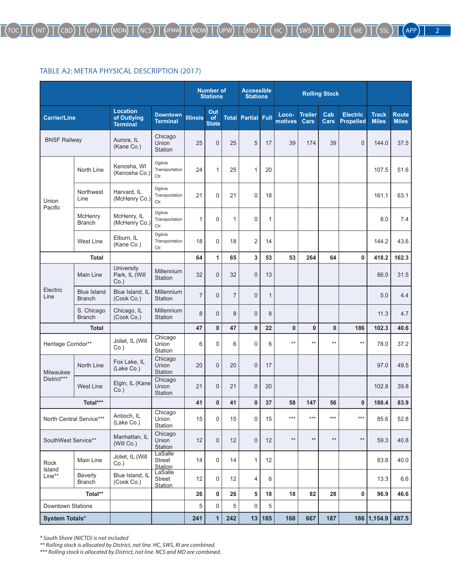## TABLE A2: METRA PHYSICAL DESCRIPTION (2017)

|                                                                                                                                                                               |                                     |                                                   |                                                |                 | <b>Number of</b><br><b>Stations</b> |                | <b>Accessible</b><br><b>Stations</b> |              |                  |                        | <b>Rolling Stock</b> |                                     |                              |                              |
|-------------------------------------------------------------------------------------------------------------------------------------------------------------------------------|-------------------------------------|---------------------------------------------------|------------------------------------------------|-----------------|-------------------------------------|----------------|--------------------------------------|--------------|------------------|------------------------|----------------------|-------------------------------------|------------------------------|------------------------------|
|                                                                                                                                                                               |                                     | <b>Location</b><br>of Outlying<br><b>Terminal</b> | <b>Downtown</b><br><b>Terminal</b>             | <b>Illinois</b> | Out<br>of<br><b>State</b>           |                | <b>Total Partial Full</b>            |              | Loco-<br>motives | <b>Trailer</b><br>Cars | Cab<br><b>Cars</b>   | <b>Electric</b><br><b>Propelled</b> | <b>Track</b><br><b>Miles</b> | <b>Route</b><br><b>Miles</b> |
|                                                                                                                                                                               |                                     | Aurora, IL<br>(Kane Co.)                          | Chicago<br>Union<br>Station                    | 25              | $\mathbf{0}$                        | 25             | 5                                    | 17           | 39               | 174                    | 39                   | $\overline{0}$                      | 144.0                        | 37.5                         |
|                                                                                                                                                                               | North Line                          | Kenosha, WI<br>(Kenosha Co.)                      | Ogilvie<br>Transportation<br>Ctr.              | 24              | $\mathbf{1}$                        | 25             | 1                                    | 20           |                  |                        |                      |                                     | 107.5                        | 51.6                         |
| Union                                                                                                                                                                         | Northwest<br>Line                   | Harvard, IL<br>(McHenry Co.)                      | Ogilvie<br>Transportation<br>Ctr.              | 21              | $\mathbf 0$                         | 21             | $\mathbf 0$                          | 18           |                  |                        |                      |                                     | 161.1                        | 63.1                         |
| Carrier/Line<br><b>BNSF Railway</b><br>Pacific<br>Electric<br>Line<br>Milwaukee<br>District***<br>North Central Service***<br>SouthWest Service**<br>Rock<br>Island<br>Line** | McHenry<br><b>Branch</b>            | McHenry, IL<br>(McHenry Co.)                      | Ogilvie<br>Transportation<br>Ctr.              | 1               | $\mathbf 0$                         | $\mathbf{1}$   | $\mathbf 0$                          | 1            |                  |                        |                      |                                     | 8.0                          | 7.4                          |
|                                                                                                                                                                               | <b>West Line</b>                    | Elburn, IL<br>(Kane Co.)                          | Ogilvie<br>Transportation<br>Ctr.              | 18              | $\mathbf 0$                         | 18             | $\overline{2}$                       | 14           |                  |                        |                      |                                     | 144.2                        | 43.6                         |
| <b>Total</b>                                                                                                                                                                  |                                     |                                                   |                                                | 64              | 1                                   | 65             | 3                                    | 53           | 53               | 264                    | 64                   | 0                                   | 418.2                        | 162.3                        |
|                                                                                                                                                                               | <b>Main Line</b>                    | University<br>Park, IL (Will<br>$Co.$ )           | Millennium<br>Station                          | 32              | $\mathbf{0}$                        | 32             | $\mathbf{0}$                         | 13           |                  |                        |                      |                                     | 86.0                         | 31.5                         |
|                                                                                                                                                                               | <b>Blue Island</b><br><b>Branch</b> | Blue Island, IL<br>(Cook Co.)                     | Millennium<br>Station                          | $\overline{7}$  | $\mathbf{0}$                        | $\overline{7}$ | $\mathbf{0}$                         | $\mathbf{1}$ |                  |                        |                      |                                     | 5.0                          | 4.4                          |
|                                                                                                                                                                               | S. Chicago<br><b>Branch</b>         | Chicago, IL<br>(Cook Co.)                         | <b>Millennium</b><br>Station                   | 8               | $\Omega$                            | 8              | $\mathbf{0}$                         | 8            |                  |                        |                      |                                     | 11.3                         | 4.7                          |
| <b>Total</b>                                                                                                                                                                  |                                     |                                                   |                                                | 47              | $\mathbf{0}$                        | 47             | $\bf{0}$                             | 22           | 0                | $\mathbf{0}$           | $\bf{0}$             | 186                                 | 102.3                        | 40.6                         |
| Heritage Corridor**                                                                                                                                                           |                                     | Joliet, IL (Will<br>Co.)                          | Chicago<br>Union<br>Station                    | 6               | $\mathbf 0$                         | 6              | $\mathbf 0$                          | 6            | $**$             | $***$                  | $**$                 | $***$                               | 78.0                         | 37.2                         |
|                                                                                                                                                                               | North Line                          | Fox Lake, IL<br>(Lake Co.)                        | Chicago<br>Union<br>Station                    | 20              | $\mathbf{0}$                        | 20             | $\mathbf{0}$                         | 17           |                  |                        |                      |                                     | 97.0                         | 49.5                         |
|                                                                                                                                                                               | <b>West Line</b>                    | Elgin, IL (Kane<br>$Co.$ )                        | Chicago<br>Union<br><b>Station</b>             | 21              | $\Omega$                            | 21             | $\overline{0}$                       | 20           |                  |                        |                      |                                     | 102.8                        | 39.8                         |
|                                                                                                                                                                               | Total***                            |                                                   |                                                | 41              | $\mathbf{0}$                        | 41             | $\bf{0}$                             | 37           | 58               | 147                    | 56                   | 0                                   | 186.4                        | 83.9                         |
|                                                                                                                                                                               |                                     | Antioch, IL<br>(Lake Co.)                         | Chicago<br>Union<br>Station                    | 15              | 0                                   | 15             | $\boldsymbol{0}$                     | 15           | ***              | $***$                  | ***                  | $***$                               | 85.6                         | 52.8                         |
|                                                                                                                                                                               |                                     | Manhattan, IL<br>(Will Co.)                       | Chicago<br>Union<br>Station                    | 12              | $\pmb{0}$                           | 12             | $\mathbf{0}$                         | 12           | $\star\star$     | $^{\star\star}$        | $**$                 | $^{\star\star}$                     | 59.3                         | 40.8                         |
|                                                                                                                                                                               | Main Line                           | Joliet, IL (Will<br>$Co.$ )                       | LaSalle<br><b>Street</b><br>Station<br>LaSalle | 14              | 0                                   | 14             | $\mathbf{1}$                         | 12           |                  |                        |                      |                                     | 83.8                         | 40.0                         |
|                                                                                                                                                                               | Beverly<br><b>Branch</b>            | Blue Island, IL<br>(Cook Co.)                     | Street<br><b>Station</b>                       | 12              | 0                                   | 12             | 4                                    | 6            |                  |                        |                      |                                     | 13.3                         | 6.6                          |
|                                                                                                                                                                               | Total**                             |                                                   |                                                | 26              | 0                                   | 26             | 5                                    | 18           | 18               | 82                     | 28                   | 0                                   | 96.9                         | 46.6                         |
| <b>Downtown Stations</b>                                                                                                                                                      |                                     |                                                   |                                                | 5               | 0                                   | 5              | $\mathbf 0$                          | 5            |                  |                        |                      |                                     |                              |                              |
| <b>System Totals*</b>                                                                                                                                                         |                                     |                                                   |                                                | 241             | $\overline{1}$                      | 242            |                                      | 13 185       | 168              | 667                    | 187                  |                                     | 186 1,154.9                  | 487.5                        |

*\* South Shore (NICTD) is not included*

*\*\* Rolling stock is allocated by District, not line. HC, SWS, RI are combined.*

*\*\*\* Rolling stock is allocated by District, not line. NCS and MD are combined.*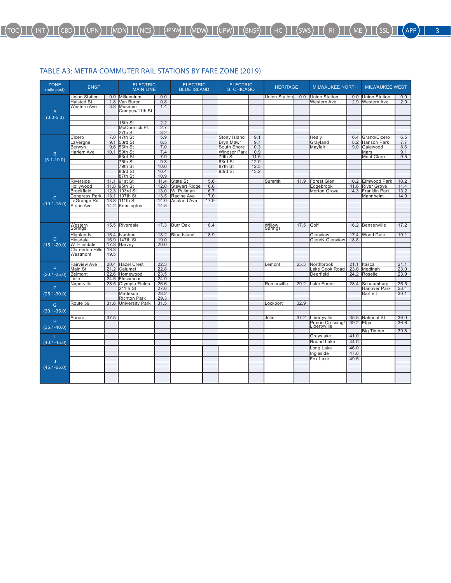## TABLE A3: METRA COMMUTER RAIL STATIONS BY FARE ZONE (2019)

| <b>ZONE</b><br>(mile post) | <b>BNSF</b>          |            | ELECTRIC<br>MAIN LINE    |            | <b>ELECTRIC</b><br><b>BLUE ISLAND</b> |      | ELECTRIC<br>S. CHICAGO         |              | <b>HERITAGE</b>      |      | <b>MILWAUKEE NORTH</b> |            | <b>MILWAUKEE WEST</b>   |            |
|----------------------------|----------------------|------------|--------------------------|------------|---------------------------------------|------|--------------------------------|--------------|----------------------|------|------------------------|------------|-------------------------|------------|
|                            | <b>Union Station</b> | 0.0        | Millennium               | 0.0        |                                       |      |                                |              | <b>Union Station</b> | 0.0  | <b>Union Station</b>   | 0.0        | <b>Union Station</b>    | 0.0        |
|                            | Halsted St           | 1.8        | Van Buren                | 0.8        |                                       |      |                                |              |                      |      | Western Ave            | 2.9        | <b>Western Ave</b>      | 2.9        |
|                            | Western Ave          | 3.8        | Museum                   | 1.4        |                                       |      |                                |              |                      |      |                        |            |                         |            |
| Α                          |                      |            | Campus/11th St           |            |                                       |      |                                |              |                      |      |                        |            |                         |            |
|                            |                      |            |                          |            |                                       |      |                                |              |                      |      |                        |            |                         |            |
| $(0.0 - 5.0)$              |                      |            |                          |            |                                       |      |                                |              |                      |      |                        |            |                         |            |
|                            |                      |            | 18th St<br>McCormick Pl. | 2.2<br>2.7 |                                       |      |                                |              |                      |      |                        |            |                         |            |
|                            |                      |            | 27th St                  | 3.2        |                                       |      |                                |              |                      |      |                        |            |                         |            |
|                            |                      |            | 47th St                  | 5.9        |                                       |      |                                |              |                      |      |                        |            | Grand/Cicero            |            |
|                            | Cicero               | 7.0<br>9.1 |                          | 6.5        |                                       |      | <b>Stony Island</b>            | 9.1<br>9.7   |                      |      | Healv                  | 6.4<br>8.2 |                         | 6.5        |
|                            | _aVergne             |            | 53rd St                  | 7.0        |                                       |      | Bryn Mawr                      |              |                      |      | Grayland               | 9.0        | Hanson Park<br>Galewood | 7.7        |
|                            | Berwyn               | 9.6        | 56th St                  | 7.4        |                                       |      | South Shore                    | 10.3         |                      |      | Mayfair                |            |                         | 8.6        |
| B                          | Harlem Ave           | 10.1       | 59th St<br>63rd St       | 7.9        |                                       |      | <b>Windsor Park</b><br>79th St | 10.9<br>11.5 |                      |      |                        |            | Mars<br>Mont Clare      | 9.1<br>9.5 |
| $(5.1 - 10.0)$             |                      |            | 75th St                  | 9.3        |                                       |      | 83rd St                        | 12.0         |                      |      |                        |            |                         |            |
|                            |                      |            | 79th St                  | 10.0       |                                       |      | 87th St                        | 12.5         |                      |      |                        |            |                         |            |
|                            |                      |            | 83rd St                  | 10.4       |                                       |      | 93rd St                        | 13.2         |                      |      |                        |            |                         |            |
|                            |                      |            | 87th St                  | 10.9       |                                       |      |                                |              |                      |      |                        |            |                         |            |
|                            | Riverside            | 11.1       | 91st St                  | 11.4       | State St                              | 15.6 |                                |              | Summit               | 11.9 | <b>Forest Glen</b>     | 10.2       | <b>Elmwood Park</b>     | 10.2       |
|                            | Hollywood            | 11.8       | 95th St                  | 12.0       | <b>Stewart Ridge</b>                  | 16.0 |                                |              |                      |      | Edgebrook              | 11.6       | <b>River Grove</b>      | 11.4       |
|                            | <b>Brookfield</b>    | 12.3       | 103rd St                 | 13.0       | W. Pullman                            | 16.7 |                                |              |                      |      | <b>Morton Grove</b>    | 14.3       | Franklin Park           | 13.2       |
|                            | <b>Congress Park</b> | 13.1       | 107th St                 | 13.5       | Racine Ave                            | 17.0 |                                |              |                      |      |                        |            | Mannheim                | 14.0       |
| $\mathsf{C}$               | LaGrange Rd          | 13.8       | 111th St                 | 14.0       | <b>Ashland Ave</b>                    | 17.9 |                                |              |                      |      |                        |            |                         |            |
| $(10.1 - 15.0)$            | Stone Ave            | 14.2       | Kensington               | 14.5       |                                       |      |                                |              |                      |      |                        |            |                         |            |
|                            |                      |            |                          |            |                                       |      |                                |              |                      |      |                        |            |                         |            |
|                            |                      |            |                          |            |                                       |      |                                |              |                      |      |                        |            |                         |            |
|                            |                      |            |                          |            |                                       |      |                                |              |                      |      |                        |            |                         |            |
|                            |                      | 15.5       | Riverdale                | 17.3       | <b>Burr Oak</b>                       | 18.4 |                                |              |                      | 17.5 | Golf                   | 16.2       | Bensenville             | 17.2       |
|                            | Western<br>Springs   |            |                          |            |                                       |      |                                |              | Willow<br>Springs    |      |                        |            |                         |            |
|                            | Highlands            | 16.4       | Ivanhoe                  | 18.2       | <b>Blue Island</b>                    | 18.9 |                                |              |                      |      | Glenview               | 17.4       | <b>Wood Dale</b>        | 19.1       |
| D                          | <b>Hinsdale</b>      | 16.9       | 147th St                 | 19.0       |                                       |      |                                |              |                      |      | Glen/N.Glenview        | 18.8       |                         |            |
| $(15.1 - 20.0)$            | W. Hinsdale          | 17.8       | <b>Harvey</b>            | 20.0       |                                       |      |                                |              |                      |      |                        |            |                         |            |
|                            | Clarendon Hills      | 18.3       |                          |            |                                       |      |                                |              |                      |      |                        |            |                         |            |
|                            | Westmont             | 19.5       |                          |            |                                       |      |                                |              |                      |      |                        |            |                         |            |
|                            |                      |            |                          |            |                                       |      |                                |              |                      |      |                        |            |                         |            |
|                            | <b>Fairview Ave</b>  | 20.4       | <b>Hazel Crest</b>       | 22.3       |                                       |      |                                |              | Lemont               | 25.3 | Northbrook             | 21.1       | Itasca                  | 21.1       |
| E                          | Main St              | 21.2       | Calumet                  | 22.8       |                                       |      |                                |              |                      |      | Lake Cook Road         | 23.0       | Medinah                 | 23.0       |
| $(20.1 - 25.0)$            | <b>Belmont</b>       | 22.6       | Homewood                 | 23.5       |                                       |      |                                |              |                      |      | Deerfield              | 24.2       | Roselle                 | 23.9       |
|                            | Lisle                | 24.5       | Flossmoor                | 24.9       |                                       |      |                                |              |                      |      |                        |            |                         |            |
|                            | Naperville           | 28.5       | Olympia Fields           | 26.6       |                                       |      |                                |              | Romeoville           | 29.2 | Lake Forest            | 28.4       | Schaumburg              | 26.5       |
| F                          |                      |            | $211th$ St               | 27.6       |                                       |      |                                |              |                      |      |                        |            | <b>Hanover Park</b>     | 28.4       |
| $(25.1 - 30.0)$            |                      |            | Matteson                 | 28.2       |                                       |      |                                |              |                      |      |                        |            | <b>Bartlett</b>         | 30.1       |
|                            |                      |            | <b>Richton Park</b>      | 29.3       |                                       |      |                                |              |                      |      |                        |            |                         |            |
| G                          | Route 59             | 31.6       | <b>University Park</b>   | 31.5       |                                       |      |                                |              | Lockport             | 32.9 |                        |            |                         |            |
|                            |                      |            |                          |            |                                       |      |                                |              |                      |      |                        |            |                         |            |
| $(30.1 - 35.0)$            |                      |            |                          |            |                                       |      |                                |              |                      |      |                        |            |                         |            |
|                            | Aurora               | 37.5       |                          |            |                                       |      |                                |              | Joliet               | 37.2 | Libertyville           | 35.5       | <b>National St</b>      | 36.0       |
| н                          |                      |            |                          |            |                                       |      |                                |              |                      |      | Prairie Crossing       | 39.2       | Elgin                   | 36.6       |
| $(35.1 - 40.0)$            |                      |            |                          |            |                                       |      |                                |              |                      |      |                        |            |                         |            |
|                            |                      |            |                          |            |                                       |      |                                |              |                      |      |                        |            | <b>Big Timber</b>       | 39.8       |
|                            |                      |            |                          |            |                                       |      |                                |              |                      |      | Grayslake              | 41.0       |                         |            |
| $(40.1 - 45.0)$            |                      |            |                          |            |                                       |      |                                |              |                      |      | Round Lake             | 44.0       |                         |            |
|                            |                      |            |                          |            |                                       |      |                                |              |                      |      | Long Lake              | 46.0       |                         |            |
|                            |                      |            |                          |            |                                       |      |                                |              |                      |      | Ingleside              | 47.8       |                         |            |
|                            |                      |            |                          |            |                                       |      |                                |              |                      |      | Fox Lake               | 49.5       |                         |            |
|                            |                      |            |                          |            |                                       |      |                                |              |                      |      |                        |            |                         |            |
| $(45.1 - 65.0)$            |                      |            |                          |            |                                       |      |                                |              |                      |      |                        |            |                         |            |
|                            |                      |            |                          |            |                                       |      |                                |              |                      |      |                        |            |                         |            |
|                            |                      |            |                          |            |                                       |      |                                |              |                      |      |                        |            |                         |            |